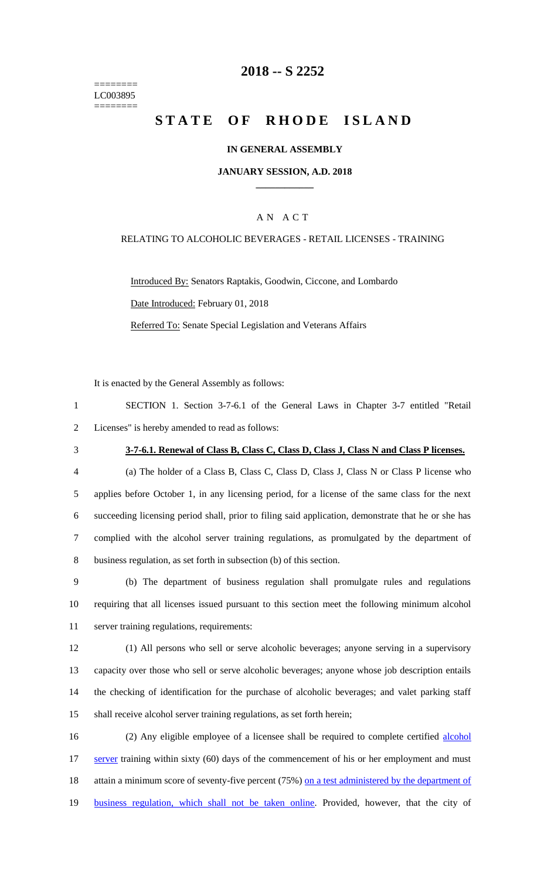======== LC003895 ========

## **2018 -- S 2252**

# **STATE OF RHODE ISLAND**

#### **IN GENERAL ASSEMBLY**

#### **JANUARY SESSION, A.D. 2018 \_\_\_\_\_\_\_\_\_\_\_\_**

## A N A C T

#### RELATING TO ALCOHOLIC BEVERAGES - RETAIL LICENSES - TRAINING

Introduced By: Senators Raptakis, Goodwin, Ciccone, and Lombardo Date Introduced: February 01, 2018 Referred To: Senate Special Legislation and Veterans Affairs

It is enacted by the General Assembly as follows:

| SECTION 1. Section 3-7-6.1 of the General Laws in Chapter 3-7 entitled "Retail" |  |  |  |  |  |  |
|---------------------------------------------------------------------------------|--|--|--|--|--|--|
| 2 Licenses" is hereby amended to read as follows:                               |  |  |  |  |  |  |

### 3 **3-7-6.1. Renewal of Class B, Class C, Class D, Class J, Class N and Class P licenses.**

 (a) The holder of a Class B, Class C, Class D, Class J, Class N or Class P license who applies before October 1, in any licensing period, for a license of the same class for the next succeeding licensing period shall, prior to filing said application, demonstrate that he or she has complied with the alcohol server training regulations, as promulgated by the department of business regulation, as set forth in subsection (b) of this section.

9 (b) The department of business regulation shall promulgate rules and regulations 10 requiring that all licenses issued pursuant to this section meet the following minimum alcohol 11 server training regulations, requirements:

 (1) All persons who sell or serve alcoholic beverages; anyone serving in a supervisory capacity over those who sell or serve alcoholic beverages; anyone whose job description entails the checking of identification for the purchase of alcoholic beverages; and valet parking staff shall receive alcohol server training regulations, as set forth herein;

16 (2) Any eligible employee of a licensee shall be required to complete certified alcohol 17 server training within sixty (60) days of the commencement of his or her employment and must 18 attain a minimum score of seventy-five percent (75%) on a test administered by the department of 19 business regulation, which shall not be taken online. Provided, however, that the city of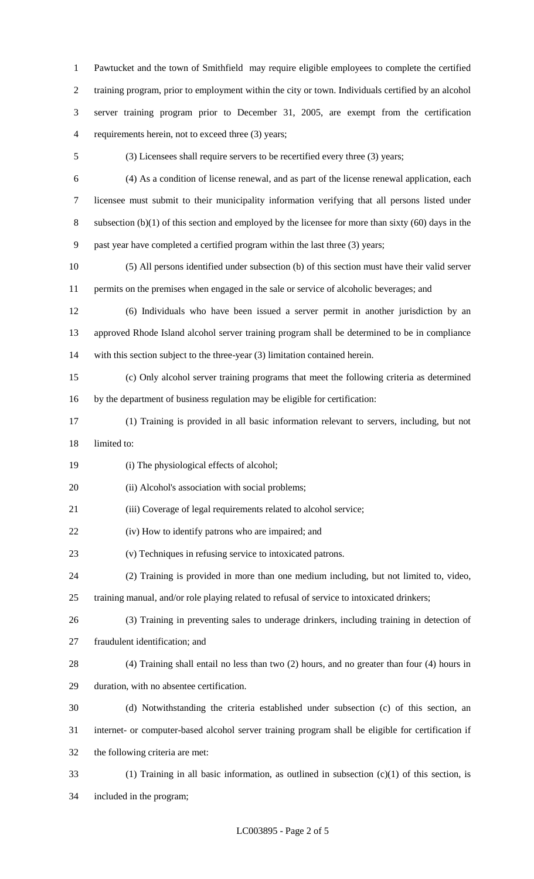Pawtucket and the town of Smithfield may require eligible employees to complete the certified training program, prior to employment within the city or town. Individuals certified by an alcohol server training program prior to December 31, 2005, are exempt from the certification requirements herein, not to exceed three (3) years;

(3) Licensees shall require servers to be recertified every three (3) years;

(4) As a condition of license renewal, and as part of the license renewal application, each

 licensee must submit to their municipality information verifying that all persons listed under subsection (b)(1) of this section and employed by the licensee for more than sixty (60) days in the past year have completed a certified program within the last three (3) years;

 (5) All persons identified under subsection (b) of this section must have their valid server permits on the premises when engaged in the sale or service of alcoholic beverages; and

 (6) Individuals who have been issued a server permit in another jurisdiction by an approved Rhode Island alcohol server training program shall be determined to be in compliance with this section subject to the three-year (3) limitation contained herein.

 (c) Only alcohol server training programs that meet the following criteria as determined by the department of business regulation may be eligible for certification:

 (1) Training is provided in all basic information relevant to servers, including, but not limited to:

(i) The physiological effects of alcohol;

20 (ii) Alcohol's association with social problems;

(iii) Coverage of legal requirements related to alcohol service;

(iv) How to identify patrons who are impaired; and

(v) Techniques in refusing service to intoxicated patrons.

(2) Training is provided in more than one medium including, but not limited to, video,

training manual, and/or role playing related to refusal of service to intoxicated drinkers;

(3) Training in preventing sales to underage drinkers, including training in detection of

fraudulent identification; and

 (4) Training shall entail no less than two (2) hours, and no greater than four (4) hours in duration, with no absentee certification.

 (d) Notwithstanding the criteria established under subsection (c) of this section, an internet- or computer-based alcohol server training program shall be eligible for certification if the following criteria are met:

 (1) Training in all basic information, as outlined in subsection (c)(1) of this section, is included in the program;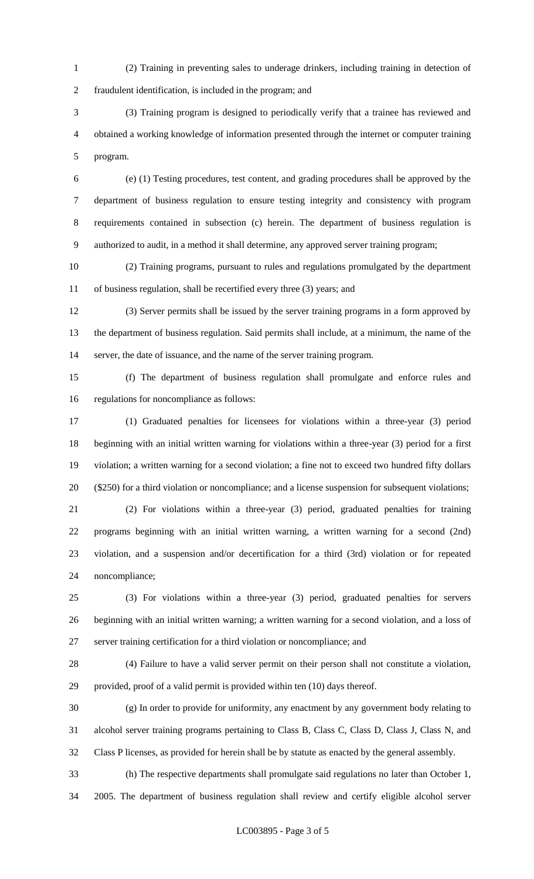(2) Training in preventing sales to underage drinkers, including training in detection of fraudulent identification, is included in the program; and

 (3) Training program is designed to periodically verify that a trainee has reviewed and obtained a working knowledge of information presented through the internet or computer training program.

 (e) (1) Testing procedures, test content, and grading procedures shall be approved by the department of business regulation to ensure testing integrity and consistency with program requirements contained in subsection (c) herein. The department of business regulation is authorized to audit, in a method it shall determine, any approved server training program;

 (2) Training programs, pursuant to rules and regulations promulgated by the department of business regulation, shall be recertified every three (3) years; and

 (3) Server permits shall be issued by the server training programs in a form approved by the department of business regulation. Said permits shall include, at a minimum, the name of the server, the date of issuance, and the name of the server training program.

 (f) The department of business regulation shall promulgate and enforce rules and regulations for noncompliance as follows:

 (1) Graduated penalties for licensees for violations within a three-year (3) period beginning with an initial written warning for violations within a three-year (3) period for a first violation; a written warning for a second violation; a fine not to exceed two hundred fifty dollars (\$250) for a third violation or noncompliance; and a license suspension for subsequent violations;

 (2) For violations within a three-year (3) period, graduated penalties for training programs beginning with an initial written warning, a written warning for a second (2nd) violation, and a suspension and/or decertification for a third (3rd) violation or for repeated noncompliance;

 (3) For violations within a three-year (3) period, graduated penalties for servers beginning with an initial written warning; a written warning for a second violation, and a loss of server training certification for a third violation or noncompliance; and

 (4) Failure to have a valid server permit on their person shall not constitute a violation, provided, proof of a valid permit is provided within ten (10) days thereof.

 (g) In order to provide for uniformity, any enactment by any government body relating to alcohol server training programs pertaining to Class B, Class C, Class D, Class J, Class N, and Class P licenses, as provided for herein shall be by statute as enacted by the general assembly.

 (h) The respective departments shall promulgate said regulations no later than October 1, 2005. The department of business regulation shall review and certify eligible alcohol server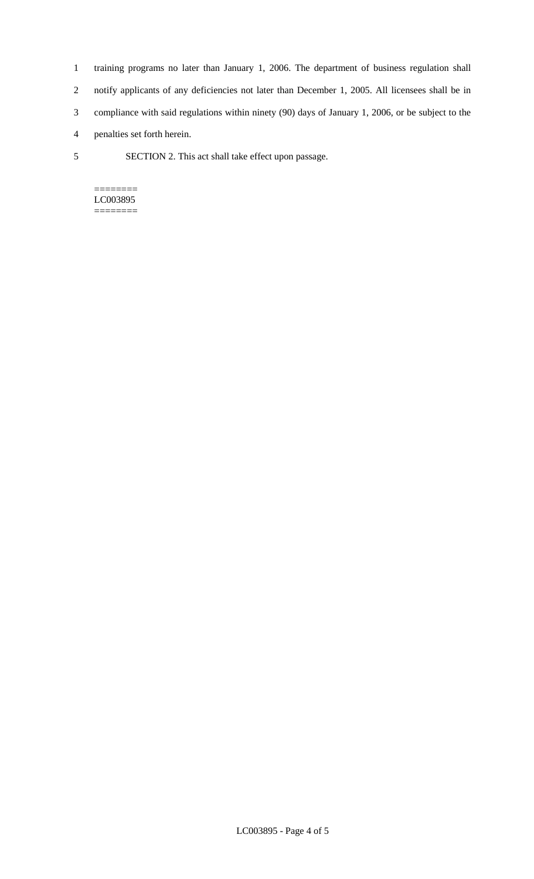- 1 training programs no later than January 1, 2006. The department of business regulation shall 2 notify applicants of any deficiencies not later than December 1, 2005. All licensees shall be in 3 compliance with said regulations within ninety (90) days of January 1, 2006, or be subject to the 4 penalties set forth herein.
- 5 SECTION 2. This act shall take effect upon passage.

======== LC003895 ========